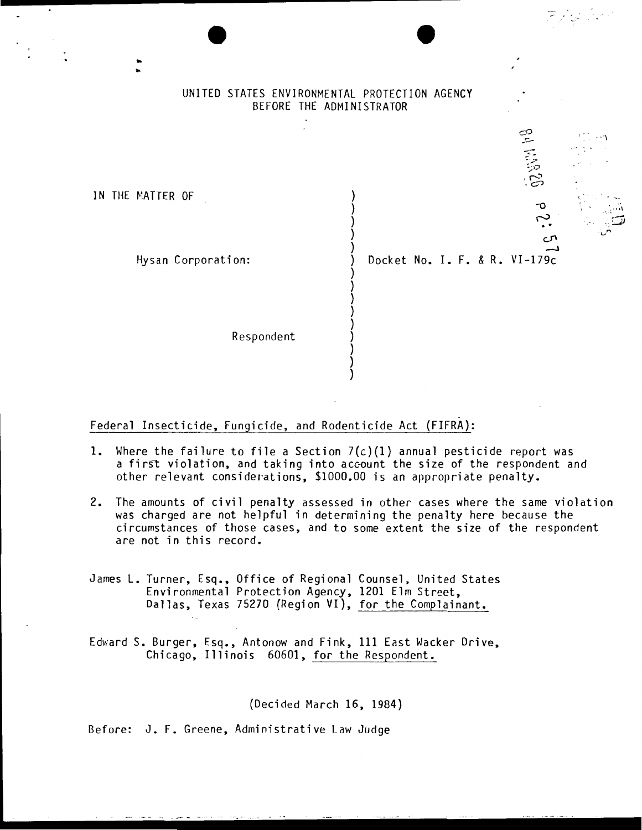## UNITED STATES ENVIRONMENTAL PROTECTION AGENCY BEFORE THE ADMINISTRATOR

) ) ) ) ) ) ) ) ) ) ) ) ) ) )

IN THE MATTER OF

Hysan Corporation:

Docket No. I. F. & R. VI-179c

--  $\mathbb{R}$ 

> ..  $\sigma$  $\tilde{\phantom{a}}$

 $\mathfrak{c}^{\pm\infty}$  .

 $\mathcal{L}$ .

 $\mathbf{e}_i \cdot \mathbf{e}_j$ ·.\_·i CJ.;

 $\mathbb{P}$  ,  $\mathbb{P}^{\mathbb{P}}_{\mathbb{P}^{\mathbb{P}}_{\mathbb{P}^{\mathbb{P}}_{\mathbb{P}}}}$  .

Respondent

Federal Insecticide, Fungicide, and Rodenticide Act (FIFRA):

- 1. Where the failure to file a Section  $7(c)(1)$  annual pesticide report was a first violation, and taking into account the size of the respondent and other relevant considerations, \$1000.00 is an appropriate penalty.
- 2. The amounts of civil penalty assessed in other cases where the same violation was charged are not helpful in determining the penalty here because the circumstances of those cases, and to some extent the size of the respondent are not in this record.
- James L. Turner, Esq., Office of Regional Counsel, United States Environmental Protection Agency, 1201 Elm Street, Dallas, Texas 75270 (Region VI}, for the Complainant.
- Edward S. Burger, Esq., Antonow and Fink, 111 East Wacker Drive, Chicago, Illinois 60601, for the Respondent.

(Decided March 16, 1984)

Before: J. F. Greene, Administrative Law Judge

..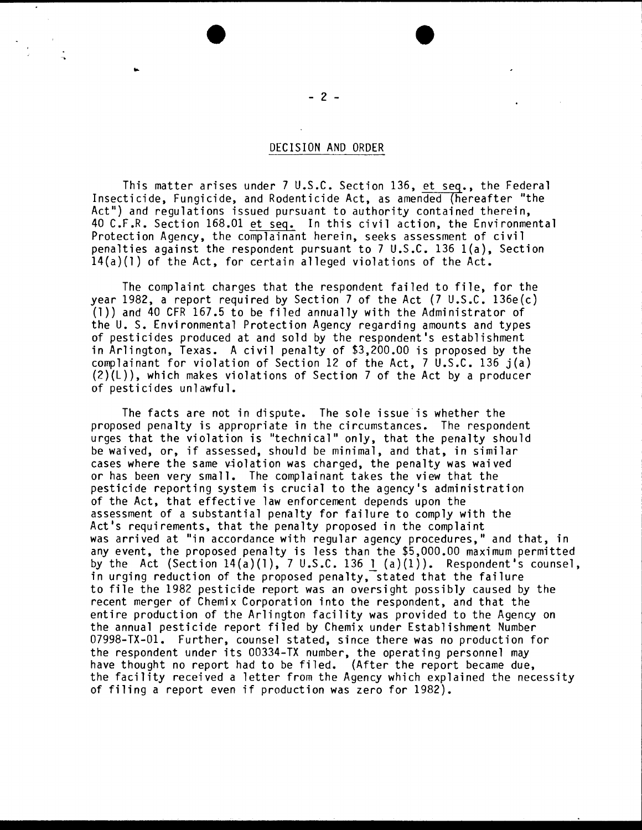## DECISION AND ORDER

This matter arises under 7 U.S.C. Section 136, et seq., the Federal Insecticide, Fungicide, and Rodenticide Act, as amended (hereafter "the Act") and regulations issued pursuant to authority contained therein, 40 C.F.R. Section 168.01 et seq. In this civil action, the Environmental Protection Agency, the complainant herein, seeks assessment of civil penalties against the respondent pursuant to 7 U.S.C. 136 1(a), Section  $14(a)(1)$  of the Act, for certain alleged violations of the Act.

The complaint charges that the respondent failed to file, for the year 1982, a report required by Section 7 of the Act (7 U.S.C. 136e(c) (1)) and 40 CFR 167.5 to be filed annually with the Administrator of the U. S. Environmental Protection Agency regarding amounts and types of pesticides produced at and sold by the respondent's establishment in Arlington, Texas. A civil penalty of \$3,200.00 is proposed by the complainant for violation of Section 12 of the Act, 7 U.S.C. 136 j(a)  $(2)(L)$ ), which makes violations of Section 7 of the Act by a producer of pesticides unlawful.

The facts are not in dispute. The sole issue is whether the proposed penalty is appropriate in the circumstances. The respondent urges that the violation is "technical" only, that the penalty should be waived, or, if assessed, should be minimal, and that, in similar cases where the same violation was charged, the penalty was waived or has been very small. The complainant takes the view that the pesticide reporting system is crucial to the agency's administration of the Act, that effective law enforcement depends upon the assessment of a substantial penalty for failure to comply with the Act's requirements, that the penalty proposed in the complaint was arrived at "in accordance with regular agency procedures," and that, in any event, the proposed penalty is less than the \$5,000.00 maximum permitted by the Act (Section  $14(a)(1)$ , 7 U.S.C. 136 1 (a)(1)). Respondent's counsel, in urging reduction of the proposed penalty, stated that the failure to file the 1982 pesticide report was an oversight possibly caused by the recent merger of Chemix Corporation into the respondent, and that the entire production of the Arlington facility was provided to the Agency on the annual pesticide report filed by Chemix under Establishment Number 07998-TX-01. Further, counsel stated, since there was no production for the respondent under its 00334-TX number, the operating personnel may have thought no report had to be filed. (After the report became due, the facility received a letter from the Agency which explained the necessity of filing a report even if production was zero for 1982).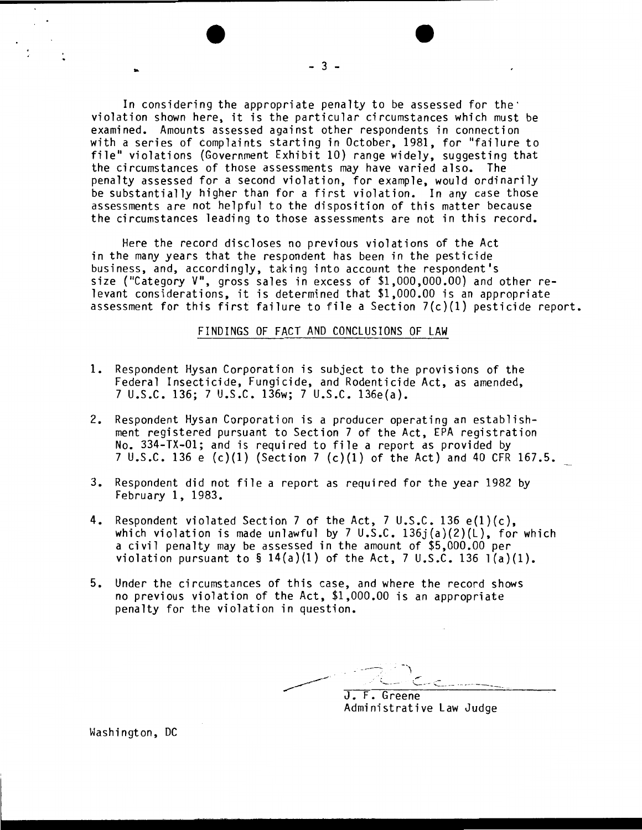In considering the appropriate penalty to be assessed for the. violation shown here, it is the particular circumstances which must be examined. Amounts assessed against other respondents in connection with a series of Complaints starting in October, 1981, for "failure to file" violations (Government Exhibit 10} range widely, suggesting that the circumstances of those assessments may have varied also. The penalty assessed for a second violation, for example, would ordinarily be substantially higher than for a first violation. In any case those assessments are not helpful to the disposition of this matter because the circumstances leading to those assessments are not in this record.

Here the record discloses no previous violations of the Act in the many years that the respondent has been in the pesticide business, and, accordingly, taking into account the respondent's size ("Category V", gross sales in excess of \$1,000,000.00} and other relevant considerations, it is determined that \$1,000.00 is an appropriate assessment for this first failure to file a Section  $7(c)(1)$  pesticide report.

FINDINGS OF FACT AND CONCLUSIONS OF LAW

- 1. Respondent Hysan Corporation is subject to the provisions of the Federal Insecticide, Fungicide, and Rodenticide Act, as amended, 7 U.S.C. 136; 7 U.S.C. 136w; 7 U.S.C. 136e(a).
- 2. Respondent Hysan Corporation is a producer operating an establishment registered pursuant to Section 7 of the Act, EPA registration No. 334-TX-01; and is required to file a report as provided by 7 U.S.C. 136 e (c}(1} (Section 7 (c}(1} of the Act) and 40 CFR 167.5.
- 3. Respondent did not file a report as required for the year 1982 by February 1, 1983.
- 4. Respondent violated Section 7 of the Act, 7 U.S.C. 136 e(1)(c), which violation is made unlawful by 7  $U.S.C. 136j(a)(2)(L)$ , for which a civil penalty may be assessed in the amount of \$5,000.00 per violation pursuant to  $\frac{1}{2}$  14(a)(1) of the Act, 7 U.S.C. 136 l(a)(1).
- 5. Under the circumstances of this case, and where the record shows no previous violation of the Act, \$1,000.00 is an appropriate penalty for the violation in question.

 $\overline{u}$ •. . ,.,.- ... \_\_\_\_ \_ - '-- ~- <sup>~</sup>c \_\_ .. ··-. - --· · -~----- --- J. F. Greene

Administrative Law Judge

Washington, DC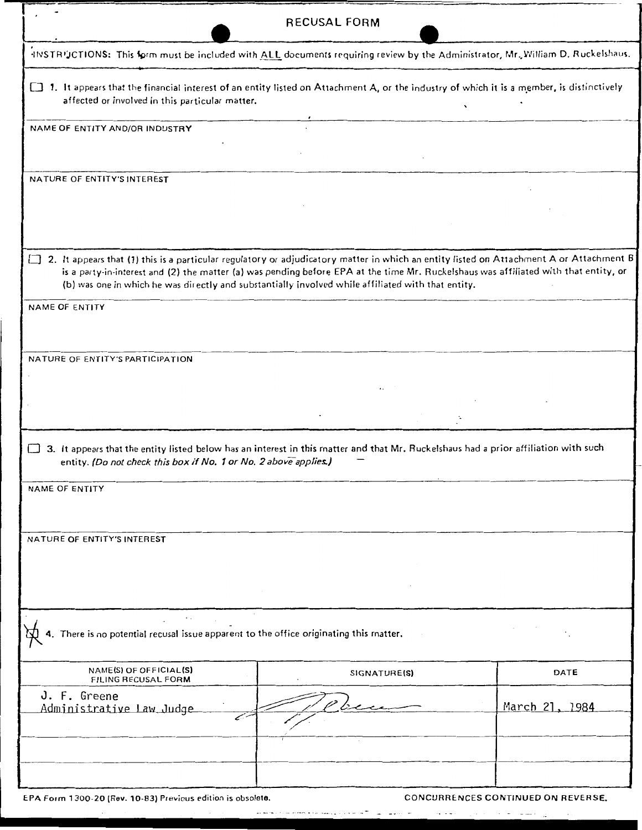| <b>RECUSAL FORM</b>                                                                                                                                                                                                                                                                                                                                                                        |              |                |  |  |  |  |  |
|--------------------------------------------------------------------------------------------------------------------------------------------------------------------------------------------------------------------------------------------------------------------------------------------------------------------------------------------------------------------------------------------|--------------|----------------|--|--|--|--|--|
| INSTRUCTIONS: This form must be included with ALL documents requiring review by the Administrator, Mr., William D. Ruckelshaus.                                                                                                                                                                                                                                                            |              |                |  |  |  |  |  |
| [] 1. It appears that the financial interest of an entity listed on Attachment A, or the industry of which it is a member, is distinctively<br>affected or involved in this particular matter.                                                                                                                                                                                             |              |                |  |  |  |  |  |
| NAME OF ENTITY AND/OR INDUSTRY                                                                                                                                                                                                                                                                                                                                                             |              |                |  |  |  |  |  |
|                                                                                                                                                                                                                                                                                                                                                                                            |              |                |  |  |  |  |  |
| NATURE OF ENTITY'S INTEREST                                                                                                                                                                                                                                                                                                                                                                |              |                |  |  |  |  |  |
|                                                                                                                                                                                                                                                                                                                                                                                            |              |                |  |  |  |  |  |
| [12] 2. It appears that (1) this is a particular regulatory or adjudicatory matter in which an entity listed on Attachment A or Attachment B<br>is a party-in-interest and (2) the matter (a) was pending before EPA at the time Mr. Ruckelshaus was affiliated with that entity, or<br>(b) was one in which he was directly and substantially involved while affiliated with that entity. |              |                |  |  |  |  |  |
| NAME OF ENTITY                                                                                                                                                                                                                                                                                                                                                                             |              |                |  |  |  |  |  |
| NATURE OF ENTITY'S PARTICIPATION                                                                                                                                                                                                                                                                                                                                                           |              |                |  |  |  |  |  |
|                                                                                                                                                                                                                                                                                                                                                                                            |              |                |  |  |  |  |  |
|                                                                                                                                                                                                                                                                                                                                                                                            |              |                |  |  |  |  |  |
|                                                                                                                                                                                                                                                                                                                                                                                            |              |                |  |  |  |  |  |
| 3. It appears that the entity listed below has an interest in this matter and that Mr. Ruckelshaus had a prior affiliation with such<br>entity. (Do not check this box if No. 1 or No. 2 above applies.)                                                                                                                                                                                   |              |                |  |  |  |  |  |
| <b>NAME OF ENTITY</b>                                                                                                                                                                                                                                                                                                                                                                      |              |                |  |  |  |  |  |
|                                                                                                                                                                                                                                                                                                                                                                                            |              |                |  |  |  |  |  |
| NATURE OF ENTITY'S INTEREST                                                                                                                                                                                                                                                                                                                                                                |              |                |  |  |  |  |  |
|                                                                                                                                                                                                                                                                                                                                                                                            |              |                |  |  |  |  |  |
|                                                                                                                                                                                                                                                                                                                                                                                            |              |                |  |  |  |  |  |
| There is no potential recusal issue apparent to the office originating this matter.                                                                                                                                                                                                                                                                                                        |              |                |  |  |  |  |  |
| NAME(S) OF OFFICIAL(S)<br>FILING RECUSAL FORM                                                                                                                                                                                                                                                                                                                                              | SIGNATURE(S) | DATE           |  |  |  |  |  |
| J. F. Greene<br>Administrative Law Judge                                                                                                                                                                                                                                                                                                                                                   |              | March 21, 1984 |  |  |  |  |  |
|                                                                                                                                                                                                                                                                                                                                                                                            |              |                |  |  |  |  |  |
|                                                                                                                                                                                                                                                                                                                                                                                            |              |                |  |  |  |  |  |

EPA Form 1300-20 (Rev. 10-83) Previous edition is obsolete. CONCURRENCES CONTINUED ON REVERSE.

 $\overline{\mathcal{L}}$  and  $\overline{\mathcal{L}}$  .

 $\sim$  -second and  $\sim$  -second  $\sim$ 

 $\overline{\phantom{a}}$ 

 $\sim$   $\sim$   $\sim$ 

 $\overline{a}$  $\ddotsc$ J.

 $\mathcal{L}^{\pm}$  and  $\mathcal{L}^{\pm}$  . The mass  $\mathcal{L}^{\pm}$ 

 $\bar{\mathcal{A}}$  .  $\bar{\mathcal{A}}$